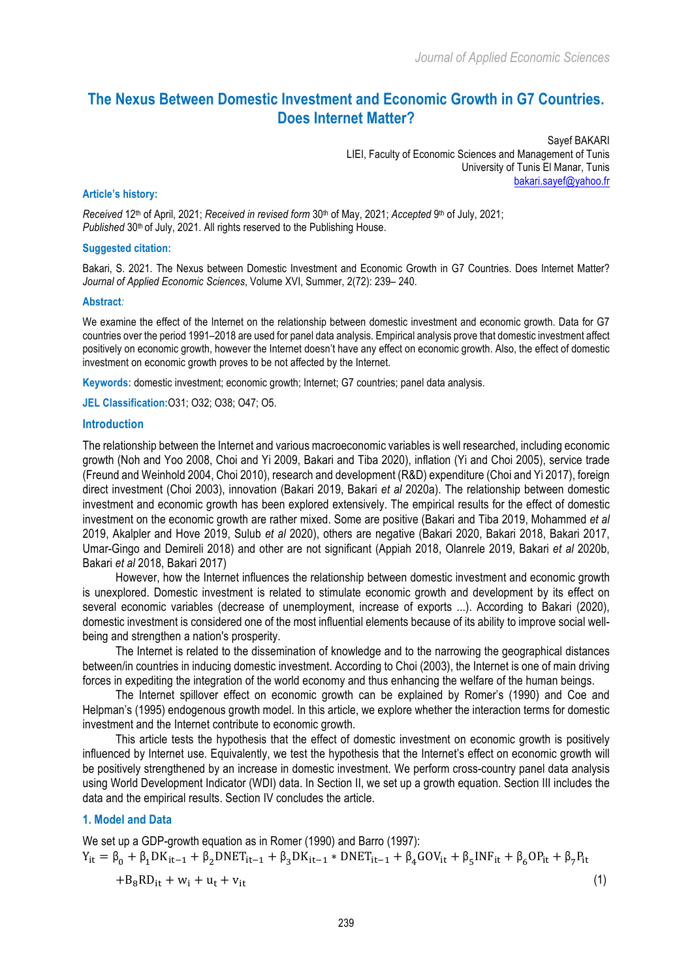# **The Nexus Between Domestic Investment and Economic Growth in G7 Countries. Does Internet Matter?**

Sayef BAKARI LIEI, Faculty of Economic Sciences and Management of Tunis University of Tunis El Manar, Tunis bakari.sayef@yahoo.fr

#### **Article's history:**

*Received* 12th of April, 2021; *Received in revised form* 30th of May, 2021; *Accepted* 9th of July, 2021; Published 30<sup>th</sup> of July, 2021. All rights reserved to the Publishing House.

#### **Suggested citation:**

Bakari, S. 2021. The Nexus between Domestic Investment and Economic Growth in G7 Countries. Does Internet Matter? *Journal of Applied Economic Sciences*, Volume XVI, Summer, 2(72): 239– 240.

#### **Abstract***:*

We examine the effect of the Internet on the relationship between domestic investment and economic growth. Data for G7 countries over the period 1991–2018 are used for panel data analysis. Empirical analysis prove that domestic investment affect positively on economic growth, however the Internet doesn't have any effect on economic growth. Also, the effect of domestic investment on economic growth proves to be not affected by the Internet.

**Keywords:** domestic investment; economic growth; Internet; G7 countries; panel data analysis.

**JEL Classification:**O31; O32; O38; O47; O5.

#### **Introduction**

The relationship between the Internet and various macroeconomic variables is well researched, including economic growth (Noh and Yoo 2008, Choi and Yi 2009, Bakari and Tiba 2020), inflation (Yi and Choi 2005), service trade (Freund and Weinhold 2004, Choi 2010), research and development (R&D) expenditure (Choi and Yi 2017), foreign direct investment (Choi 2003), innovation (Bakari 2019, Bakari *et al* 2020a). The relationship between domestic investment and economic growth has been explored extensively. The empirical results for the effect of domestic investment on the economic growth are rather mixed. Some are positive (Bakari and Tiba 2019, Mohammed *et al* 2019, Akalpler and Hove 2019, Sulub *et al* 2020), others are negative (Bakari 2020, Bakari 2018, Bakari 2017, Umar-Gingo and Demireli 2018) and other are not significant (Appiah 2018, Olanrele 2019, Bakari *et al* 2020b, Bakari *et al* 2018, Bakari 2017)

However, how the Internet influences the relationship between domestic investment and economic growth is unexplored. Domestic investment is related to stimulate economic growth and development by its effect on several economic variables (decrease of unemployment, increase of exports ...). According to Bakari (2020), domestic investment is considered one of the most influential elements because of its ability to improve social wellbeing and strengthen a nation's prosperity.

The Internet is related to the dissemination of knowledge and to the narrowing the geographical distances between/in countries in inducing domestic investment. According to Choi (2003), the Internet is one of main driving forces in expediting the integration of the world economy and thus enhancing the welfare of the human beings.

The Internet spillover effect on economic growth can be explained by Romer's (1990) and Coe and Helpman's (1995) endogenous growth model. In this article, we explore whether the interaction terms for domestic investment and the Internet contribute to economic growth.

This article tests the hypothesis that the effect of domestic investment on economic growth is positively influenced by Internet use. Equivalently, we test the hypothesis that the Internet's effect on economic growth will be positively strengthened by an increase in domestic investment. We perform cross-country panel data analysis using World Development Indicator (WDI) data. In Section II, we set up a growth equation. Section III includes the data and the empirical results. Section IV concludes the article.

### **1. Model and Data**

We set up a GDP-growth equation as in Romer (1990) and Barro (1997):  $Y_{it} = \beta_0 + \beta_1 DK_{it-1} + \beta_2 DNET_{it-1} + \beta_3 DK_{it-1} * DNET_{it-1} + \beta_4 GOV_{it} + \beta_5 INF_{it} + \beta_6 OP_{it} + \beta_7 P_{it}$  $+B_8RD_{it} + w_i + u_t + v_{it}$  (1)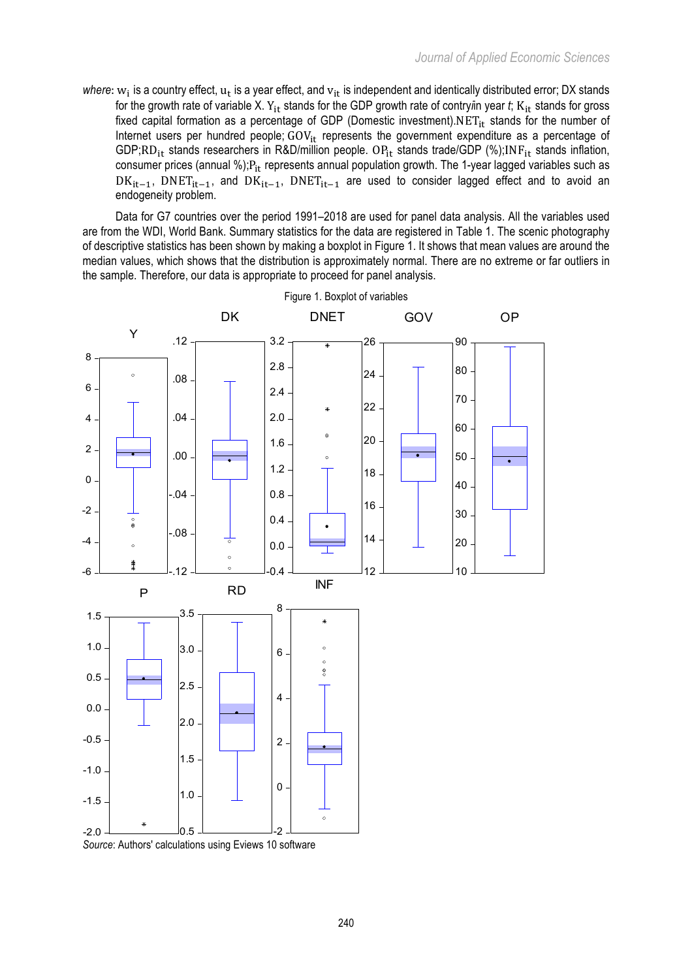*where*:  $w_i$  is a country effect,  $u_t$  is a year effect, and  $v_{it}$  is independent and identically distributed error; DX stands for the growth rate of variable X. Y<sub>it</sub> stands for the GDP growth rate of contry*i*in year *t*; K<sub>it</sub> stands for gross fixed capital formation as a percentage of GDP (Domestic investment). $NET_{it}$  stands for the number of Internet users per hundred people;  $GOV_{it}$  represents the government expenditure as a percentage of GDP;RD<sub>it</sub> stands researchers in R&D/million people. OP<sub>it</sub> stands trade/GDP (%);INF<sub>it</sub> stands inflation, consumer prices (annual %); $P_{it}$  represents annual population growth. The 1-year lagged variables such as  $DK_{it-1}$ , DNET<sub>it-1</sub>, and  $DK_{it-1}$ , DNET<sub>it-1</sub> are used to consider lagged effect and to avoid an endogeneity problem.

Data for G7 countries over the period 1991–2018 are used for panel data analysis. All the variables used are from the WDI, World Bank. Summary statistics for the data are registered in Table 1. The scenic photography of descriptive statistics has been shown by making a boxplot in Figure 1. It shows that mean values are around the median values, which shows that the distribution is approximately normal. There are no extreme or far outliers in the sample. Therefore, our data is appropriate to proceed for panel analysis.



Figure 1. Boxplot of variables

*Source*: Authors' calculations using Eviews 10 software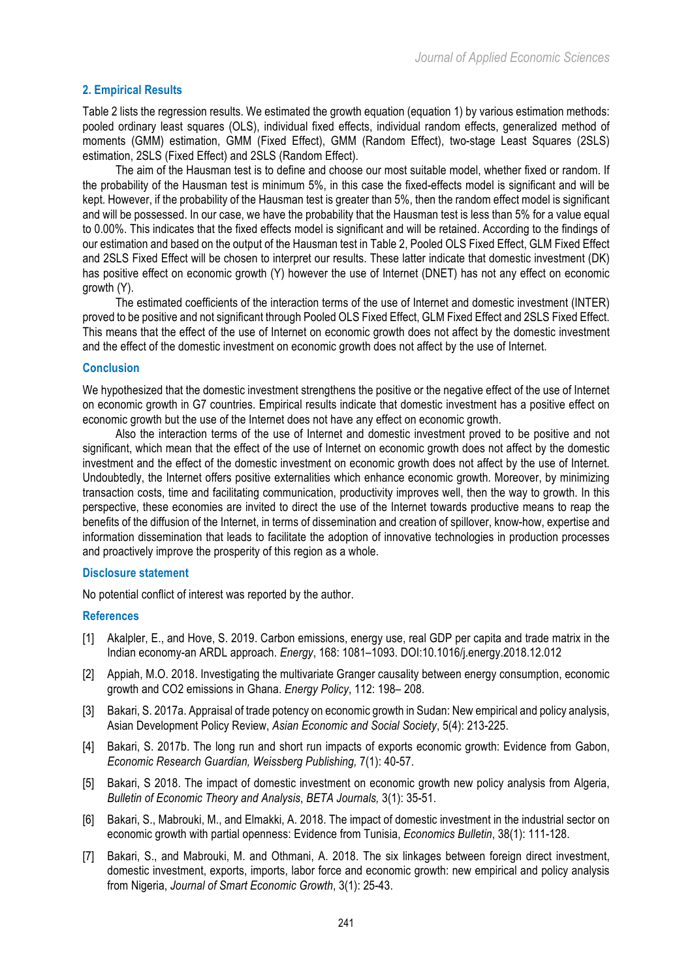# **2. Empirical Results**

Table 2 lists the regression results. We estimated the growth equation (equation 1) by various estimation methods: pooled ordinary least squares (OLS), individual fixed effects, individual random effects, generalized method of moments (GMM) estimation, GMM (Fixed Effect), GMM (Random Effect), two-stage Least Squares (2SLS) estimation, 2SLS (Fixed Effect) and 2SLS (Random Effect).

The aim of the Hausman test is to define and choose our most suitable model, whether fixed or random. If the probability of the Hausman test is minimum 5%, in this case the fixed-effects model is significant and will be kept. However, if the probability of the Hausman test is greater than 5%, then the random effect model is significant and will be possessed. In our case, we have the probability that the Hausman test is less than 5% for a value equal to 0.00%. This indicates that the fixed effects model is significant and will be retained. According to the findings of our estimation and based on the output of the Hausman test in Table 2, Pooled OLS Fixed Effect, GLM Fixed Effect and 2SLS Fixed Effect will be chosen to interpret our results. These latter indicate that domestic investment (DK) has positive effect on economic growth (Y) however the use of Internet (DNET) has not any effect on economic growth (Y).

The estimated coefficients of the interaction terms of the use of Internet and domestic investment (INTER) proved to be positive and not significant through Pooled OLS Fixed Effect, GLM Fixed Effect and 2SLS Fixed Effect. This means that the effect of the use of Internet on economic growth does not affect by the domestic investment and the effect of the domestic investment on economic growth does not affect by the use of Internet.

### **Conclusion**

We hypothesized that the domestic investment strengthens the positive or the negative effect of the use of Internet on economic growth in G7 countries. Empirical results indicate that domestic investment has a positive effect on economic growth but the use of the Internet does not have any effect on economic growth.

Also the interaction terms of the use of Internet and domestic investment proved to be positive and not significant, which mean that the effect of the use of Internet on economic growth does not affect by the domestic investment and the effect of the domestic investment on economic growth does not affect by the use of Internet. Undoubtedly, the Internet offers positive externalities which enhance economic growth. Moreover, by minimizing transaction costs, time and facilitating communication, productivity improves well, then the way to growth. In this perspective, these economies are invited to direct the use of the Internet towards productive means to reap the benefits of the diffusion of the Internet, in terms of dissemination and creation of spillover, know-how, expertise and information dissemination that leads to facilitate the adoption of innovative technologies in production processes and proactively improve the prosperity of this region as a whole.

# **Disclosure statement**

No potential conflict of interest was reported by the author.

# **References**

- [1] Akalpler, E., and Hove, S. 2019. Carbon emissions, energy use, real GDP per capita and trade matrix in the Indian economy-an ARDL approach. *Energy*, 168: 1081–1093. DOI:10.1016/j.energy.2018.12.012
- [2] Appiah, M.O. 2018. Investigating the multivariate Granger causality between energy consumption, economic growth and CO2 emissions in Ghana. *Energy Policy*, 112: 198– 208.
- [3] Bakari, S. 2017a. Appraisal of trade potency on economic growth in Sudan: New empirical and policy analysis, Asian Development Policy Review, *Asian Economic and Social Society*, 5(4): 213-225.
- [4] Bakari, S. 2017b. The long run and short run impacts of exports economic growth: Evidence from Gabon, *Economic Research Guardian, Weissberg Publishing,* 7(1): 40-57.
- [5] Bakari, S 2018. The impact of domestic investment on economic growth new policy analysis from Algeria, *Bulletin of Economic Theory and Analysis*, *BETA Journals,* 3(1): 35-51.
- [6] Bakari, S., Mabrouki, M., and Elmakki, A. 2018. The impact of domestic investment in the industrial sector on economic growth with partial openness: Evidence from Tunisia, *Economics Bulletin*, 38(1): 111-128.
- [7] Bakari, S., and Mabrouki, M. and Othmani, A. 2018. The six linkages between foreign direct investment, domestic investment, exports, imports, labor force and economic growth: new empirical and policy analysis from Nigeria, *Journal of Smart Economic Growth*, 3(1): 25-43.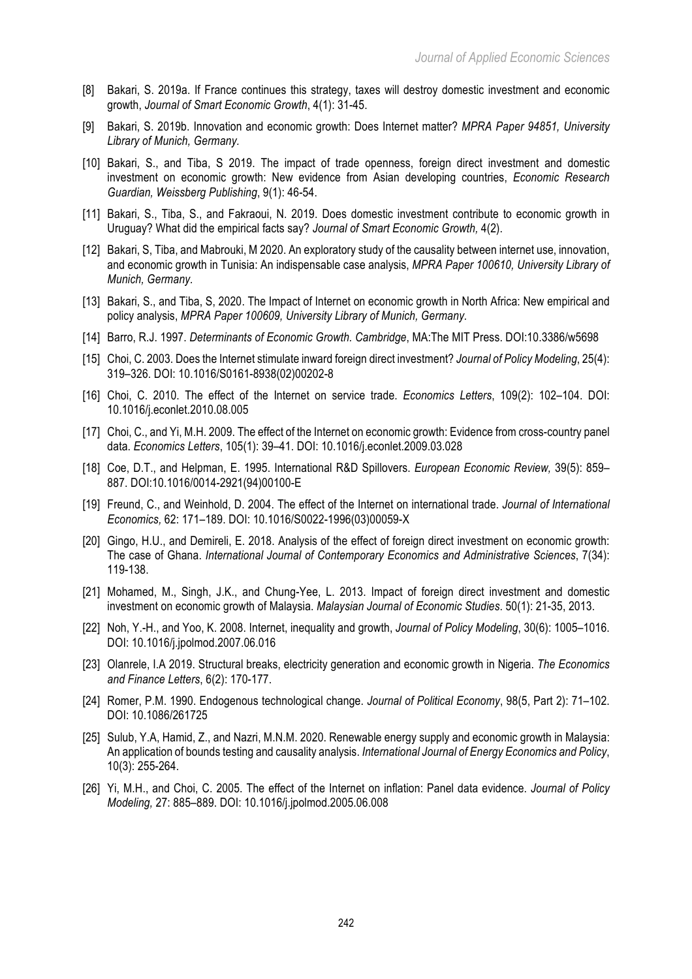- [8] Bakari, S. 2019a. If France continues this strategy, taxes will destroy domestic investment and economic growth, *Journal of Smart Economic Growth*, 4(1): 31-45.
- [9] Bakari, S. 2019b. Innovation and economic growth: Does Internet matter? *MPRA Paper 94851, University Library of Munich, Germany.*
- [10] Bakari, S., and Tiba, S 2019. The impact of trade openness, foreign direct investment and domestic investment on economic growth: New evidence from Asian developing countries, *Economic Research Guardian, Weissberg Publishing*, 9(1): 46-54.
- [11] Bakari, S., Tiba, S., and Fakraoui, N. 2019. Does domestic investment contribute to economic growth in Uruguay? What did the empirical facts say? *Journal of Smart Economic Growth,* 4(2).
- [12] Bakari, S, Tiba, and Mabrouki, M 2020. An exploratory study of the causality between internet use, innovation, and economic growth in Tunisia: An indispensable case analysis, *MPRA Paper 100610, University Library of Munich, Germany.*
- [13] Bakari, S., and Tiba, S, 2020. The Impact of Internet on economic growth in North Africa: New empirical and policy analysis, *MPRA Paper 100609, University Library of Munich, Germany.*
- [14] Barro, R.J. 1997. *Determinants of Economic Growth. Cambridge*, MA:The MIT Press. DOI:10.3386/w5698
- [15] Choi, C. 2003. Does the Internet stimulate inward foreign direct investment? *Journal of Policy Modeling*, 25(4): 319–326. DOI: 10.1016/S0161-8938(02)00202-8
- [16] Choi, C. 2010. The effect of the Internet on service trade. *Economics Letters*, 109(2): 102–104. DOI: 10.1016/j.econlet.2010.08.005
- [17] Choi, C., and Yi, M.H. 2009. The effect of the Internet on economic growth: Evidence from cross-country panel data. *Economics Letters*, 105(1): 39–41. DOI: 10.1016/j.econlet.2009.03.028
- [18] Coe, D.T., and Helpman, E. 1995. International R&D Spillovers. *European Economic Review,* 39(5): 859– 887. DOI:10.1016/0014-2921(94)00100-E
- [19] Freund, C., and Weinhold, D. 2004. The effect of the Internet on international trade. *Journal of International Economics,* 62: 171–189. DOI: 10.1016/S0022-1996(03)00059-X
- [20] Gingo, H.U., and Demireli, E. 2018. Analysis of the effect of foreign direct investment on economic growth: The case of Ghana. *International Journal of Contemporary Economics and Administrative Sciences*, 7(34): 119-138.
- [21] Mohamed, M., Singh, J.K., and Chung-Yee, L. 2013. Impact of foreign direct investment and domestic investment on economic growth of Malaysia. *Malaysian Journal of Economic Studies*. 50(1): 21-35, 2013.
- [22] Noh, Y.-H., and Yoo, K. 2008. Internet, inequality and growth, *Journal of Policy Modeling*, 30(6): 1005–1016. DOI: 10.1016/j.jpolmod.2007.06.016
- [23] Olanrele, I.A 2019. Structural breaks, electricity generation and economic growth in Nigeria. *The Economics and Finance Letters*, 6(2): 170-177.
- [24] Romer, P.M. 1990. Endogenous technological change. *Journal of Political Economy*, 98(5, Part 2): 71–102. DOI: 10.1086/261725
- [25] Sulub, Y.A, Hamid, Z., and Nazri, M.N.M. 2020. Renewable energy supply and economic growth in Malaysia: An application of bounds testing and causality analysis. *International Journal of Energy Economics and Policy*, 10(3): 255-264.
- [26] Yi, M.H., and Choi, C. 2005. The effect of the Internet on inflation: Panel data evidence. *Journal of Policy Modeling,* 27: 885–889. DOI: 10.1016/j.jpolmod.2005.06.008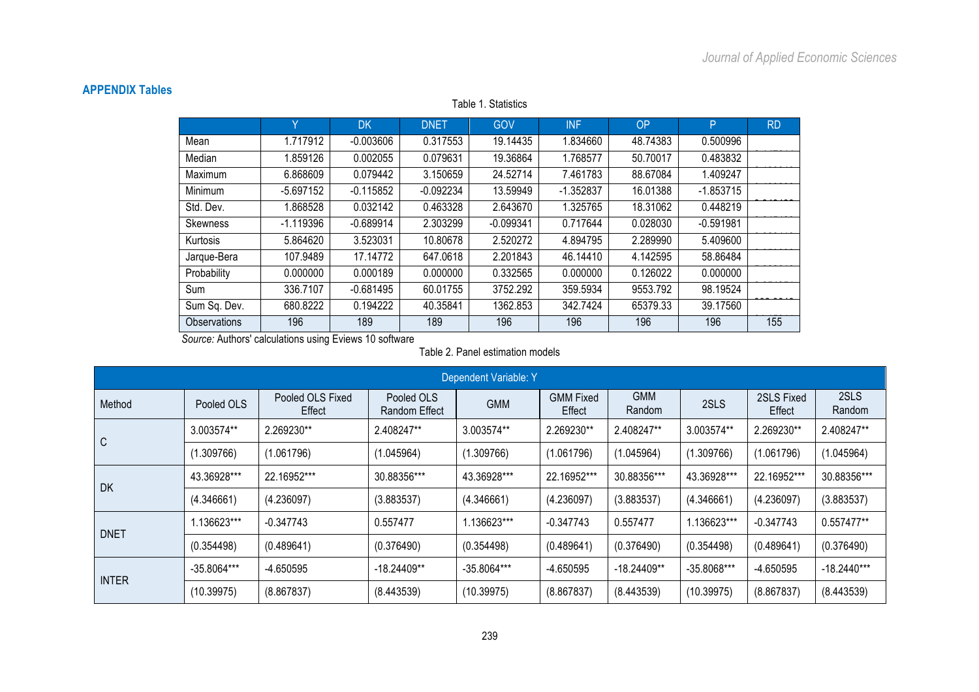# **APPENDIX Tables**

Y DK DNET GOV INF OP P RD Mean | 1.717912 | -0.003606 | 0.317553 | 19.14435 | 1.834660 | 48.74383 | 0.500996 Median 1.859126 0.002055 0.079631 19.36864 1.768577 50.70017 0.483832 Maximum 1 6.868609 0.079442 3.150659 24.52714 7.461783 88.67084 1.409247 Minimum 1 -5.697152 -0.115852 -0.092234 13.59949 -1.352837 16.01388 -1.853715 Std. Dev. 1.868528 0.032142 0.463328 2.643670 1.325765 18.31062 0.448219 Skewness 0.645429 -1.119396 -0.689914 2.303299 -0.099341 0.717644 0.028030 -0.591981 Kurtosis 1 5.864620 3.523031 10.80678 2.520272 4.894795 2.289990 5.409600 2.053003 Jarque-Bera 107.9489 17.14772 647.0618 2.201843 46.14410 4.142595 58.86484 Probability 0.000000 0.000189 0.000000 0.332565 0.000000 0.126022 0.000000 Sum 0.054951 336.7107 -0.681495 60.01755 3752.292 359.5934 9553.792 98.19524 Sum Sq. Dev. 680.8222 0.194222 40.35841 1362.853 342.7424 65379.33 39.17560 Observations 196 189 189 196 196 196 196 196 196

Table 1. Statistics

*Source:* Authors' calculations using Eviews 10 software

### Table 2. Panel estimation models

| Dependent Variable: Y |               |                            |                                    |               |                            |                      |             |                      |                |  |
|-----------------------|---------------|----------------------------|------------------------------------|---------------|----------------------------|----------------------|-------------|----------------------|----------------|--|
| Method                | Pooled OLS    | Pooled OLS Fixed<br>Effect | Pooled OLS<br><b>Random Effect</b> | <b>GMM</b>    | <b>GMM Fixed</b><br>Effect | <b>GMM</b><br>Random | 2SLS        | 2SLS Fixed<br>Effect | 2SLS<br>Random |  |
| C                     | 3.003574**    | 2.269230**                 | 2.408247**                         | 3.003574**    | 2.269230**                 | 2.408247**           | 3.003574**  | 2.269230**           | 2.408247**     |  |
|                       | (1.309766)    | (1.061796)                 | (1.045964)                         | (1.309766)    | (1.061796)                 | (1.045964)           | (1.309766)  | (1.061796)           | (1.045964)     |  |
| <b>DK</b>             | 43.36928***   | 22.16952***                | 30.88356***                        | 43.36928***   | 22.16952***                | 30.88356***          | 43.36928*** | 22.16952***          | 30.88356***    |  |
|                       | (4.346661)    | (4.236097)                 | (3.883537)                         | (4.346661)    | (4.236097)                 | (3.883537)           | (4.346661)  | (4.236097)           | (3.883537)     |  |
| <b>DNET</b>           | .136623***    | $-0.347743$                | 0.557477                           | 1.136623***   | $-0.347743$                | 0.557477             | 1.136623*** | $-0.347743$          | $0.557477**$   |  |
|                       | (0.354498)    | (0.489641)                 | (0.376490)                         | (0.354498)    | (0.489641)                 | (0.376490)           | (0.354498)  | (0.489641)           | (0.376490)     |  |
| <b>INTER</b>          | $-35.8064***$ | -4.650595                  | $-18.24409**$                      | $-35.8064***$ | -4.650595                  | -18.24409**          | -35.8068*** | -4.650595            | $-18.2440***$  |  |
|                       | (10.39975)    | (8.867837)                 | (8.443539)                         | (10.39975)    | (8.867837)                 | (8.443539)           | (10.39975)  | (8.867837)           | (8.443539)     |  |